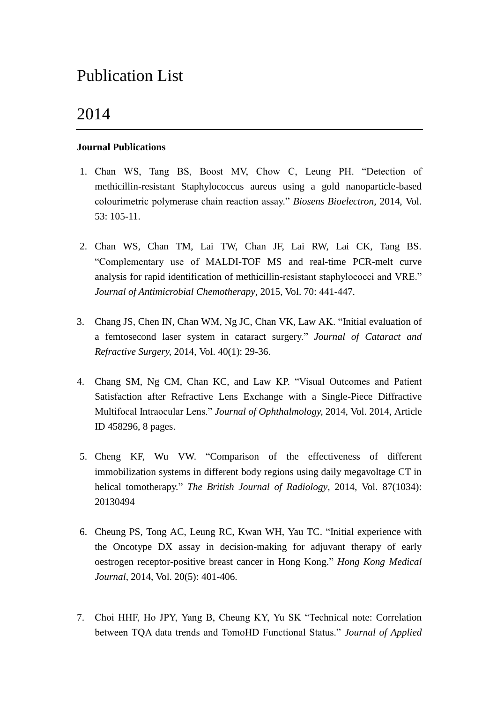# Publication List

# 2014

### **Journal Publications**

- 1. Chan WS, Tang BS, Boost MV, Chow C, Leung PH. "Detection of methicillin-resistant Staphylococcus aureus using a gold nanoparticle-based colourimetric polymerase chain reaction assay." *Biosens Bioelectron,* 2014, Vol. 53: 105-11.
- 2. Chan WS, Chan TM, Lai TW, Chan JF, Lai RW, Lai CK, Tang BS. "Complementary use of MALDI-TOF MS and real-time PCR-melt curve analysis for rapid identification of methicillin-resistant staphylococci and VRE." *Journal of Antimicrobial Chemotherapy*, 2015, Vol. 70: 441-447.
- 3. Chang JS, Chen IN, Chan WM, Ng JC, Chan VK, Law AK. "Initial evaluation of a femtosecond laser system in cataract surgery." *Journal of Cataract and Refractive Surgery,* 2014, Vol. 40(1): 29-36.
- 4. Chang SM, Ng CM, Chan KC, and Law KP. "Visual Outcomes and Patient Satisfaction after Refractive Lens Exchange with a Single-Piece Diffractive Multifocal Intraocular Lens." *Journal of Ophthalmology,* 2014, Vol. 2014, Article ID 458296, 8 pages.
- 5. Cheng KF, Wu VW. "Comparison of the effectiveness of different immobilization systems in different body regions using daily megavoltage CT in helical tomotherapy." *The British Journal of Radiology*, 2014, Vol. 87(1034): 20130494
- 6. Cheung PS, Tong AC, Leung RC, Kwan WH, Yau TC. "Initial experience with the Oncotype DX assay in decision-making for adjuvant therapy of early oestrogen receptor-positive breast cancer in Hong Kong." *Hong Kong Medical Journal*, 2014, Vol. 20(5): 401-406.
- 7. Choi HHF, Ho JPY, Yang B, Cheung KY, Yu SK "Technical note: Correlation between TQA data trends and TomoHD Functional Status." *Journal of Applied*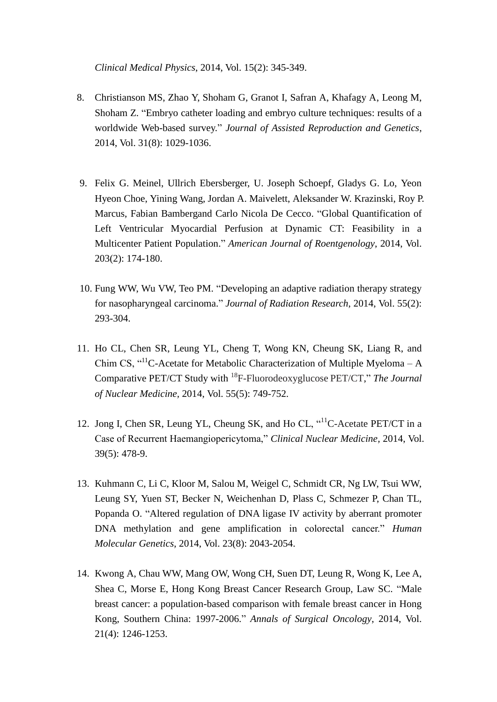*Clinical Medical Physics*, 2014, Vol. 15(2): 345-349.

- 8. Christianson MS, Zhao Y, Shoham G, Granot I, Safran A, Khafagy A, Leong M, Shoham Z. "Embryo catheter loading and embryo culture techniques: results of a worldwide Web-based survey." *Journal of Assisted Reproduction and Genetics*, 2014, Vol. 31(8): 1029-1036.
- 9. Felix G. Meinel, Ullrich Ebersberger, U. Joseph Schoepf, Gladys G. Lo, Yeon Hyeon Choe, Yining Wang, Jordan A. Maivelett, Aleksander W. Krazinski, Roy P. Marcus, Fabian Bambergand Carlo Nicola De Cecco. "Global Quantification of Left Ventricular Myocardial Perfusion at Dynamic CT: Feasibility in a Multicenter Patient Population." *American Journal of Roentgenology*, 2014, Vol. 203(2): 174-180.
- 10. Fung WW, Wu VW, Teo PM. "Developing an adaptive radiation therapy strategy for nasopharyngeal carcinoma." *Journal of Radiation Research*, 2014, Vol. 55(2): 293-304.
- 11. Ho CL, Chen SR, Leung YL, Cheng T, Wong KN, Cheung SK, Liang R, and Chim CS,  $\cdot$ <sup>11</sup>C-Acetate for Metabolic Characterization of Multiple Myeloma – A Comparative PET/CT Study with <sup>18</sup>F-Fluorodeoxyglucose PET/CT," *The Journal of Nuclear Medicine,* 2014, Vol. 55(5): 749-752.
- 12. Jong I, Chen SR, Leung YL, Cheung SK, and Ho CL, "<sup>11</sup>C-Acetate PET/CT in a Case of Recurrent Haemangiopericytoma," *Clinical Nuclear Medicine,* 2014, Vol. 39(5): 478-9.
- 13. Kuhmann C, Li C, Kloor M, Salou M, Weigel C, Schmidt CR, Ng LW, Tsui WW, Leung SY, Yuen ST, Becker N, Weichenhan D, Plass C, Schmezer P, Chan TL, Popanda O. "Altered regulation of DNA ligase IV activity by aberrant promoter DNA methylation and gene amplification in colorectal cancer." *Human Molecular Genetics*, 2014, Vol. 23(8): 2043-2054.
- 14. Kwong A, Chau WW, Mang OW, Wong CH, Suen DT, Leung R, Wong K, Lee A, Shea C, Morse E, Hong Kong Breast Cancer Research Group, Law SC. "Male breast cancer: a population-based comparison with female breast cancer in Hong Kong, Southern China: 1997-2006." *Annals of Surgical Oncology*, 2014, Vol. 21(4): 1246-1253.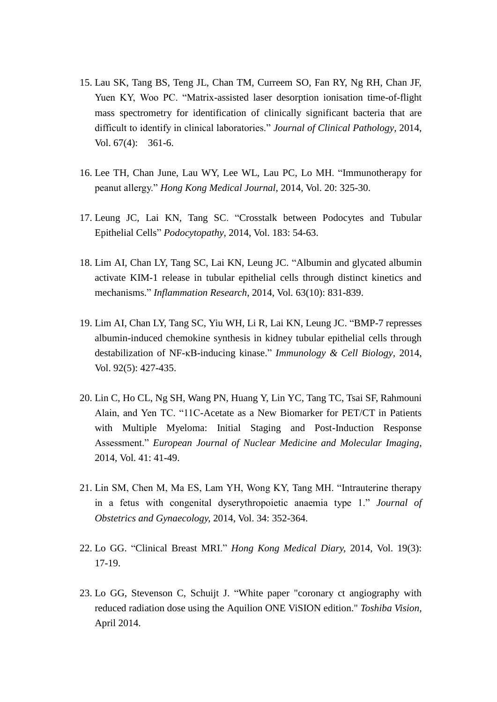- 15. Lau SK, Tang BS, Teng JL, Chan TM, Curreem SO, Fan RY, Ng RH, Chan JF, Yuen KY, Woo PC. "Matrix-assisted laser desorption ionisation time-of-flight mass spectrometry for identification of clinically significant bacteria that are difficult to identify in clinical laboratories." *Journal of Clinical Pathology*, 2014, Vol. 67(4): 361-6.
- 16. Lee TH, Chan June, Lau WY, Lee WL, Lau PC, Lo MH. "Immunotherapy for peanut allergy." *Hong Kong Medical Journal*, 2014, Vol. 20: 325-30.
- 17. Leung JC, Lai KN, Tang SC. "Crosstalk between Podocytes and Tubular Epithelial Cells" *Podocytopathy*, 2014, Vol. 183: 54-63.
- 18. Lim AI, Chan LY, Tang SC, Lai KN, Leung JC. "Albumin and glycated albumin activate KIM-1 release in tubular epithelial cells through distinct kinetics and mechanisms." *Inflammation Research*, 2014, Vol. 63(10): 831-839.
- 19. Lim AI, Chan LY, Tang SC, Yiu WH, Li R, Lai KN, Leung JC. "BMP-7 represses albumin-induced chemokine synthesis in kidney tubular epithelial cells through destabilization of NF-κB-inducing kinase." *Immunology & Cell Biology*, 2014, Vol. 92(5): 427-435.
- 20. Lin C, Ho CL, Ng SH, Wang PN, Huang Y, Lin YC, Tang TC, Tsai SF, Rahmouni Alain, and Yen TC. "11C-Acetate as a New Biomarker for PET/CT in Patients with Multiple Myeloma: Initial Staging and Post-Induction Response Assessment." *European Journal of Nuclear Medicine and Molecular Imaging,* 2014, Vol. 41: 41-49.
- 21. Lin SM, Chen M, Ma ES, Lam YH, Wong KY, Tang MH. "Intrauterine therapy in a fetus with congenital dyserythropoietic anaemia type 1." *Journal of Obstetrics and Gynaecology,* 2014, Vol. 34: 352-364.
- 22. Lo GG. "Clinical Breast MRI." *Hong Kong Medical Diary,* 2014, Vol. 19(3): 17-19.
- 23. Lo GG, Stevenson C, Schuijt J. "White paper "coronary ct angiography with reduced radiation dose using the Aquilion ONE ViSION edition." *Toshiba Vision,* April 2014.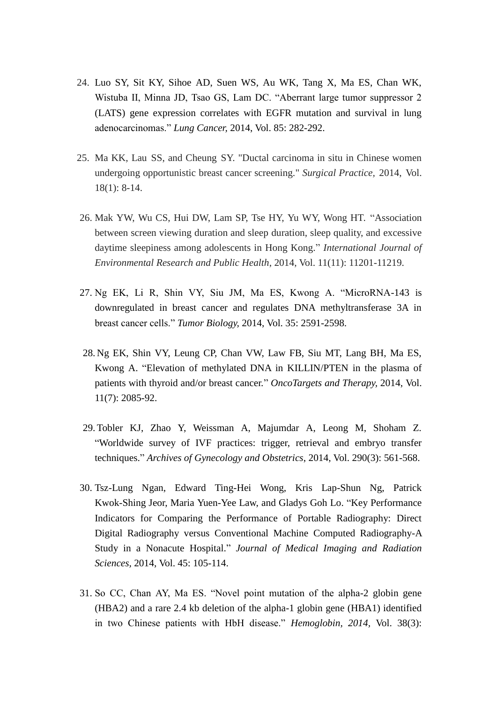- 24. Luo SY, Sit KY, Sihoe AD, Suen WS, Au WK, Tang X, Ma ES, Chan WK, Wistuba II, Minna JD, Tsao GS, Lam DC. "Aberrant large tumor suppressor 2 (LATS) gene expression correlates with EGFR mutation and survival in lung adenocarcinomas." *Lung Cancer,* 2014, Vol. 85: 282-292.
- 25. Ma KK, Lau SS, and Cheung SY. "Ductal carcinoma in situ in Chinese women undergoing opportunistic breast cancer screening." *Surgical Practice,* 2014, Vol. 18(1): 8-14.
- 26. Mak YW, Wu CS, Hui DW, Lam SP, Tse HY, Yu WY, Wong HT. "Association between screen viewing duration and sleep duration, sleep quality, and excessive daytime sleepiness among adolescents in Hong Kong." *International Journal of Environmental Research and Public Health*, 2014, Vol. 11(11): 11201-11219.
- 27. Ng EK, Li R, Shin VY, Siu JM, Ma ES, Kwong A. "MicroRNA-143 is downregulated in breast cancer and regulates DNA methyltransferase 3A in breast cancer cells." *Tumor Biology,* 2014, Vol. 35: 2591-2598.
- 28. Ng EK, Shin VY, Leung CP, Chan VW, Law FB, Siu MT, Lang BH, Ma ES, Kwong A. "Elevation of methylated DNA in KILLIN/PTEN in the plasma of patients with thyroid and/or breast cancer." *OncoTargets and Therapy,* 2014, Vol. 11(7): 2085-92.
- 29. Tobler KJ, Zhao Y, Weissman A, Majumdar A, Leong M, Shoham Z. "Worldwide survey of IVF practices: trigger, retrieval and embryo transfer techniques." *Archives of Gynecology and Obstetrics*, 2014, Vol. 290(3): 561-568.
- 30. Tsz-Lung Ngan, Edward Ting-Hei Wong, Kris Lap-Shun Ng, Patrick Kwok-Shing Jeor, Maria Yuen-Yee Law, and Gladys Goh Lo. "Key Performance Indicators for Comparing the Performance of Portable Radiography: Direct Digital Radiography versus Conventional Machine Computed Radiography-A Study in a Nonacute Hospital." *Journal of Medical Imaging and Radiation Sciences,* 2014, Vol. 45: 105-114.
- 31. So CC, Chan AY, Ma ES. "Novel point mutation of the alpha-2 globin gene (HBA2) and a rare 2.4 kb deletion of the alpha-1 globin gene (HBA1) identified in two Chinese patients with HbH disease." *Hemoglobin, 2014,* Vol. 38(3):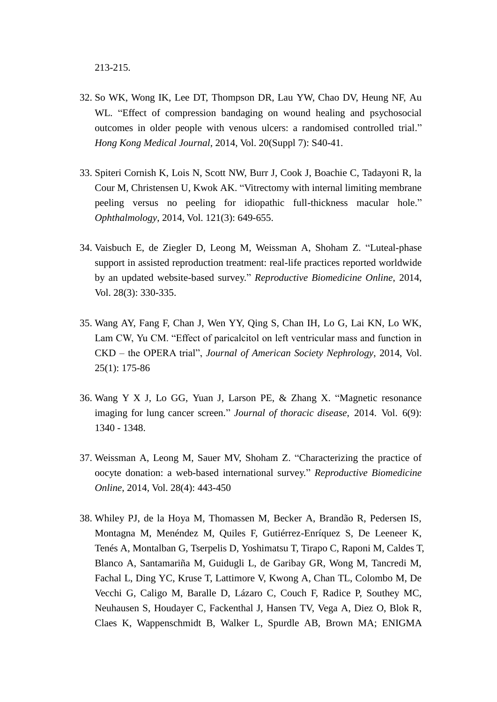213-215.

- 32. So WK, Wong IK, Lee DT, Thompson DR, Lau YW, Chao DV, Heung NF, Au WL. "Effect of compression bandaging on wound healing and psychosocial outcomes in older people with venous ulcers: a randomised controlled trial." *Hong Kong Medical Journal*, 2014, Vol. 20(Suppl 7): S40-41.
- 33. Spiteri Cornish K, Lois N, Scott NW, Burr J, Cook J, Boachie C, Tadayoni R, la Cour M, Christensen U, Kwok AK. "Vitrectomy with internal limiting membrane peeling versus no peeling for idiopathic full-thickness macular hole." *Ophthalmology*, 2014, Vol. 121(3): 649-655.
- 34. Vaisbuch E, de Ziegler D, Leong M, Weissman A, Shoham Z. "Luteal-phase support in assisted reproduction treatment: real-life practices reported worldwide by an updated website-based survey." *Reproductive Biomedicine Online*, 2014, Vol. 28(3): 330-335.
- 35. Wang AY, Fang F, Chan J, Wen YY, Qing S, Chan IH, Lo G, Lai KN, Lo WK, Lam CW, Yu CM. "Effect of paricalcitol on left ventricular mass and function in CKD – the OPERA trial", *Journal of American Society Nephrology*, 2014, Vol. 25(1): 175-86
- 36. Wang Y X J, Lo GG, Yuan J, Larson PE, & Zhang X. "Magnetic resonance imaging for lung cancer screen." *Journal of thoracic disease,* 2014. Vol. 6(9): 1340 - 1348.
- 37. Weissman A, Leong M, Sauer MV, Shoham Z. "Characterizing the practice of oocyte donation: a web-based international survey." *Reproductive Biomedicine Online*, 2014, Vol. 28(4): 443-450
- 38. Whiley PJ, de la Hoya M, Thomassen M, Becker A, Brandão R, Pedersen IS, Montagna M, Menéndez M, Quiles F, Gutiérrez-Enríquez S, De Leeneer K, Tenés A, Montalban G, Tserpelis D, Yoshimatsu T, Tirapo C, Raponi M, Caldes T, Blanco A, Santamariña M, Guidugli L, de Garibay GR, Wong M, Tancredi M, Fachal L, Ding YC, Kruse T, Lattimore V, Kwong A, Chan TL, Colombo M, De Vecchi G, Caligo M, Baralle D, Lázaro C, Couch F, Radice P, Southey MC, Neuhausen S, Houdayer C, Fackenthal J, Hansen TV, Vega A, Diez O, Blok R, Claes K, Wappenschmidt B, Walker L, Spurdle AB, Brown MA; ENIGMA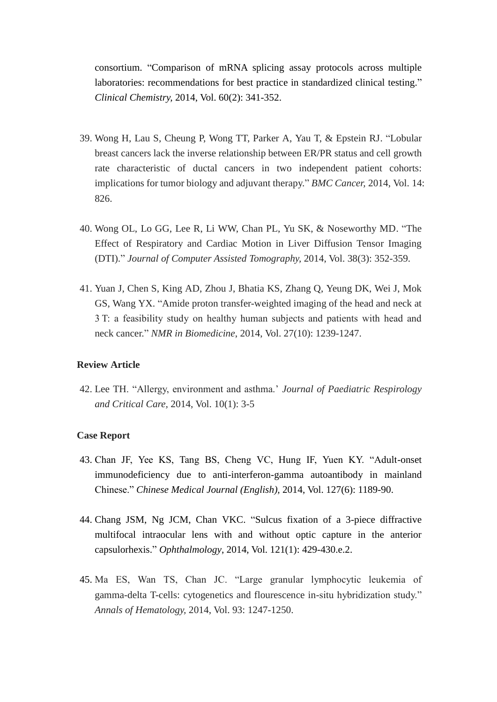consortium. "Comparison of mRNA splicing assay protocols across multiple laboratories: recommendations for best practice in standardized clinical testing." *Clinical Chemistry,* 2014, Vol. 60(2): 341-352.

- 39. Wong H, Lau S, Cheung P, Wong TT, Parker A, Yau T, & Epstein RJ. "Lobular breast cancers lack the inverse relationship between ER/PR status and cell growth rate characteristic of ductal cancers in two independent patient cohorts: implications for tumor biology and adjuvant therapy." *BMC Cancer,* 2014, Vol. 14: 826.
- 40. Wong OL, Lo GG, Lee R, Li WW, Chan PL, Yu SK, & Noseworthy MD. "The Effect of Respiratory and Cardiac Motion in Liver Diffusion Tensor Imaging (DTI)." *Journal of Computer Assisted Tomography,* 2014, Vol. 38(3): 352-359.
- 41. Yuan J, Chen S, King AD, Zhou J, Bhatia KS, Zhang Q, Yeung DK, Wei J, Mok GS, Wang YX. "Amide proton transfer-weighted imaging of the head and neck at 3 T: a feasibility study on healthy human subjects and patients with head and neck cancer." *NMR in Biomedicine*, 2014, Vol. 27(10): 1239-1247.

#### **Review Article**

42. Lee TH. "Allergy, environment and asthma.' *Journal of Paediatric Respirology and Critical Care,* 2014, Vol. 10(1): 3-5

#### **Case Report**

- 43. Chan JF, Yee KS, Tang BS, Cheng VC, Hung IF, Yuen KY. "Adult-onset immunodeficiency due to anti-interferon-gamma autoantibody in mainland Chinese." *Chinese Medical Journal (English),* 2014, Vol. 127(6): 1189-90.
- 44. Chang JSM, Ng JCM, Chan VKC. "Sulcus fixation of a 3-piece diffractive multifocal intraocular lens with and without optic capture in the anterior capsulorhexis." *Ophthalmology*, 2014, Vol. 121(1): 429-430.e.2.
- 45. Ma ES, Wan TS, Chan JC. "Large granular lymphocytic leukemia of gamma-delta T-cells: cytogenetics and flourescence in-situ hybridization study." *Annals of Hematology,* 2014, Vol. 93: 1247-1250.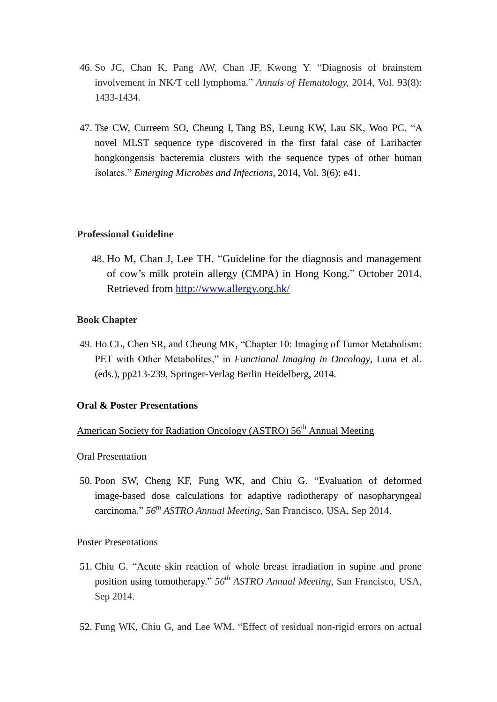- 46. So JC, Chan K, Pang AW, Chan JF, Kwong Y. "Diagnosis of brainstem involvement in NK/T cell lymphoma." *Annals of Hematology,* 2014, Vol. 93(8): 1433-1434.
- 47. Tse CW, Curreem SO, Cheung I, Tang BS, Leung KW, Lau SK, Woo PC. "A novel MLST sequence type discovered in the first fatal case of Laribacter hongkongensis bacteremia clusters with the sequence types of other human isolates." *Emerging Microbes and Infections,* 2014, Vol. 3(6): e41.

#### **Professional Guideline**

48. Ho M, Chan J, Lee TH. "Guideline for the diagnosis and management of cow's milk protein allergy (CMPA) in Hong Kong." October 2014. Retrieved from<http://www.allergy.org.hk/>

### **Book Chapter**

49. Ho CL, Chen SR, and Cheung MK, "Chapter 10: Imaging of Tumor Metabolism: PET with Other Metabolites," in *Functional Imaging in Oncology*, Luna et al. (eds.), pp213-239, Springer-Verlag Berlin Heidelberg, 2014.

#### **Oral & Poster Presentations**

## American Society for Radiation Oncology (ASTRO) 56<sup>th</sup> Annual Meeting

Oral Presentation

50. Poon SW, Cheng KF, Fung WK, and Chiu G. "Evaluation of deformed image-based dose calculations for adaptive radiotherapy of nasopharyngeal carcinoma." *56th ASTRO Annual Meeting,* San Francisco, USA, Sep 2014.

Poster Presentations

- 51. Chiu G. "Acute skin reaction of whole breast irradiation in supine and prone position using tomotherapy." *56th ASTRO Annual Meeting,* San Francisco, USA, Sep 2014.
- 52. Fung WK, Chiu G, and Lee WM. "Effect of residual non-rigid errors on actual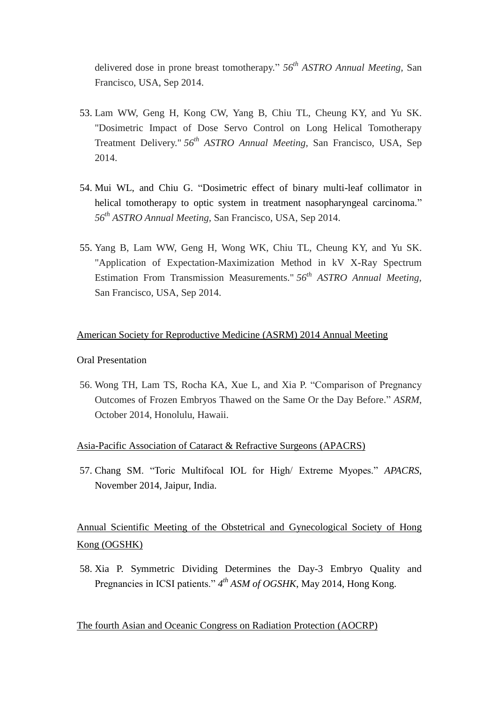delivered dose in prone breast tomotherapy." *56th ASTRO Annual Meeting,* San Francisco, USA, Sep 2014.

- 53. Lam WW, Geng H, Kong CW, Yang B, Chiu TL, Cheung KY, and Yu SK. "Dosimetric Impact of Dose Servo Control on Long Helical Tomotherapy Treatment Delivery." *56th ASTRO Annual Meeting,* San Francisco, USA, Sep 2014.
- 54. Mui WL, and Chiu G. "Dosimetric effect of binary multi-leaf collimator in helical tomotherapy to optic system in treatment nasopharyngeal carcinoma." *56th ASTRO Annual Meeting,* San Francisco, USA, Sep 2014.
- 55. Yang B, Lam WW, Geng H, Wong WK, Chiu TL, Cheung KY, and Yu SK. "Application of Expectation-Maximization Method in kV X-Ray Spectrum Estimation From Transmission Measurements." *56th ASTRO Annual Meeting,*  San Francisco, USA, Sep 2014.

## American Society for Reproductive Medicine (ASRM) 2014 Annual Meeting

#### Oral Presentation

56. Wong TH, Lam TS, Rocha KA, Xue L, and Xia P. "Comparison of Pregnancy Outcomes of Frozen Embryos Thawed on the Same Or the Day Before." *ASRM*, October 2014, Honolulu, Hawaii.

#### Asia-Pacific Association of Cataract & Refractive Surgeons (APACRS)

57. Chang SM. "Toric Multifocal IOL for High/ Extreme Myopes." *APACRS*, November 2014, Jaipur, India.

## Annual Scientific Meeting of the Obstetrical and Gynecological Society of Hong Kong (OGSHK)

58. Xia P. Symmetric Dividing Determines the Day-3 Embryo Quality and Pregnancies in ICSI patients."  $4^{th}$  *ASM of OGSHK*, May 2014, Hong Kong.

The fourth Asian and Oceanic Congress on Radiation Protection (AOCRP)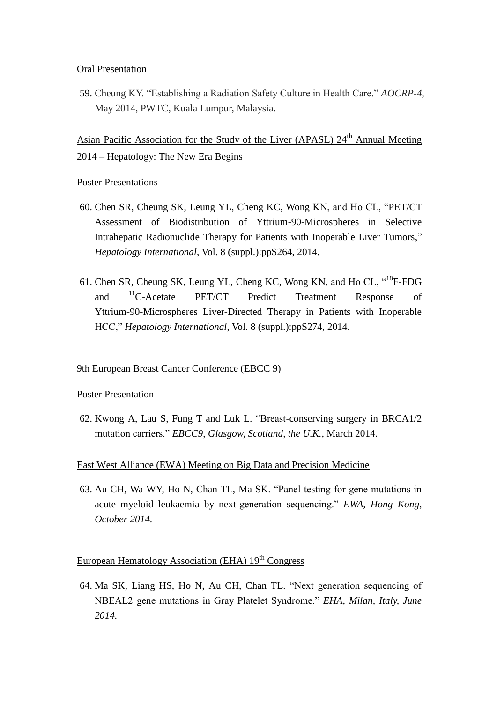Oral Presentation

59. Cheung KY. "Establishing a Radiation Safety Culture in Health Care." *AOCRP-4*, May 2014, PWTC, Kuala Lumpur, Malaysia.

Asian Pacific Association for the Study of the Liver (APASL) 24<sup>th</sup> Annual Meeting 2014 – Hepatology: The New Era Begins

Poster Presentations

- 60. Chen SR, Cheung SK, Leung YL, Cheng KC, Wong KN, and Ho CL, "PET/CT Assessment of Biodistribution of Yttrium-90-Microspheres in Selective Intrahepatic Radionuclide Therapy for Patients with Inoperable Liver Tumors," *Hepatology International*, Vol. 8 (suppl.):ppS264, 2014.
- 61. Chen SR, Cheung SK, Leung YL, Cheng KC, Wong KN, and Ho CL, "<sup>18</sup>F-FDG and <sup>11</sup>C-Acetate PET/CT Predict Treatment Response of Yttrium-90-Microspheres Liver-Directed Therapy in Patients with Inoperable HCC," *Hepatology International*, Vol. 8 (suppl.):ppS274, 2014.

## 9th European Breast Cancer Conference (EBCC 9)

Poster Presentation

62. Kwong A, Lau S, Fung T and Luk L. "Breast-conserving surgery in BRCA1/2 mutation carriers." *EBCC9*, *Glasgow, Scotland, the U.K.,* March 2014.

## East West Alliance (EWA) Meeting on Big Data and Precision Medicine

63. Au CH, Wa WY, Ho N, Chan TL, Ma SK. "Panel testing for gene mutations in acute myeloid leukaemia by next-generation sequencing." *EWA, Hong Kong, October 2014.* 

## European Hematology Association (EHA)  $19<sup>th</sup>$  Congress

64. Ma SK, Liang HS, Ho N, Au CH, Chan TL. "Next generation sequencing of NBEAL2 gene mutations in Gray Platelet Syndrome." *EHA, Milan, Italy, June 2014.*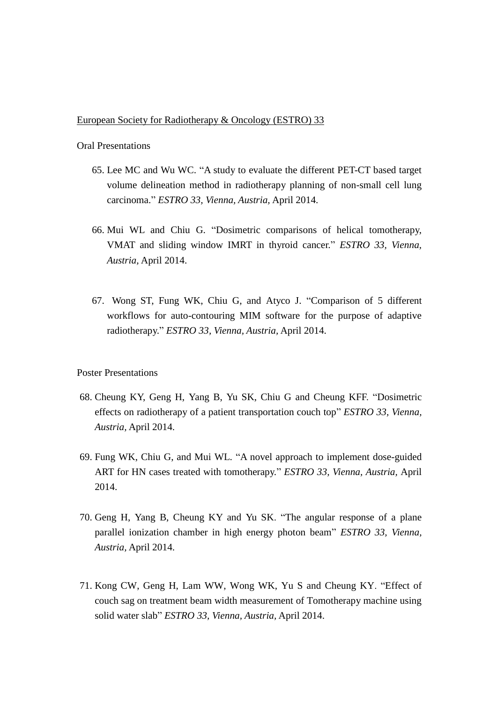#### European Society for Radiotherapy & Oncology (ESTRO) 33

#### Oral Presentations

- 65. Lee MC and Wu WC. "A study to evaluate the different PET-CT based target volume delineation method in radiotherapy planning of non-small cell lung carcinoma." *ESTRO 33, Vienna, Austria,* April 2014.
- 66. Mui WL and Chiu G. "Dosimetric comparisons of helical tomotherapy, VMAT and sliding window IMRT in thyroid cancer." *ESTRO 33, Vienna, Austria,* April 2014.
- 67. Wong ST, Fung WK, Chiu G, and Atyco J. "Comparison of 5 different workflows for auto-contouring MIM software for the purpose of adaptive radiotherapy." *ESTRO 33, Vienna, Austria,* April 2014.

#### Poster Presentations

- 68. Cheung KY, Geng H, Yang B, Yu SK, Chiu G and Cheung KFF. "Dosimetric effects on radiotherapy of a patient transportation couch top" *ESTRO 33, Vienna, Austria,* April 2014.
- 69. Fung WK, Chiu G, and Mui WL. "A novel approach to implement dose-guided ART for HN cases treated with tomotherapy." *ESTRO 33, Vienna, Austria,* April 2014.
- 70. Geng H, Yang B, Cheung KY and Yu SK. "The angular response of a plane parallel ionization chamber in high energy photon beam" *ESTRO 33, Vienna, Austria,* April 2014.
- 71. Kong CW, Geng H, Lam WW, Wong WK, Yu S and Cheung KY. "Effect of couch sag on treatment beam width measurement of Tomotherapy machine using solid water slab" *ESTRO 33, Vienna, Austria,* April 2014.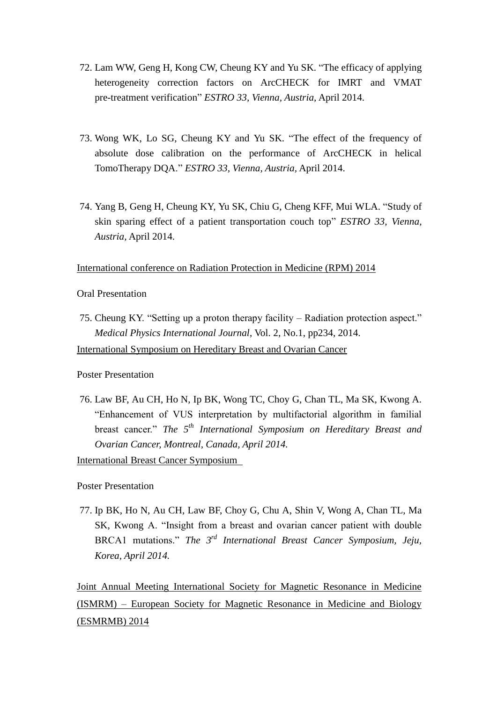- 72. Lam WW, Geng H, Kong CW, Cheung KY and Yu SK. "The efficacy of applying heterogeneity correction factors on ArcCHECK for IMRT and VMAT pre-treatment verification" *ESTRO 33, Vienna, Austria,* April 2014.
- 73. Wong WK, Lo SG, Cheung KY and Yu SK. "The effect of the frequency of absolute dose calibration on the performance of ArcCHECK in helical TomoTherapy DQA." *ESTRO 33, Vienna, Austria,* April 2014.
- 74. Yang B, Geng H, Cheung KY, Yu SK, Chiu G, Cheng KFF, Mui WLA. "Study of skin sparing effect of a patient transportation couch top" *ESTRO 33, Vienna, Austria,* April 2014.

International conference on Radiation Protection in Medicine (RPM) 2014

Oral Presentation

75. Cheung KY. "Setting up a proton therapy facility – Radiation protection aspect." *Medical Physics International Journal*, Vol. 2, No.1, pp234, 2014.

International Symposium on Hereditary Breast and Ovarian Cancer

Poster Presentation

76. Law BF, Au CH, Ho N, Ip BK, Wong TC, Choy G, Chan TL, Ma SK, Kwong A. "Enhancement of VUS interpretation by multifactorial algorithm in familial breast cancer." *The 5th International Symposium on Hereditary Breast and Ovarian Cancer, Montreal, Canada, April 2014.*

International Breast Cancer Symposium

Poster Presentation

77. Ip BK, Ho N, Au CH, Law BF, Choy G, Chu A, Shin V, Wong A, Chan TL, Ma SK, Kwong A. "Insight from a breast and ovarian cancer patient with double BRCA1 mutations." *The 3rd International Breast Cancer Symposium, Jeju, Korea, April 2014.*

Joint Annual Meeting International Society for Magnetic Resonance in Medicine (ISMRM) – European Society for Magnetic Resonance in Medicine and Biology (ESMRMB) 2014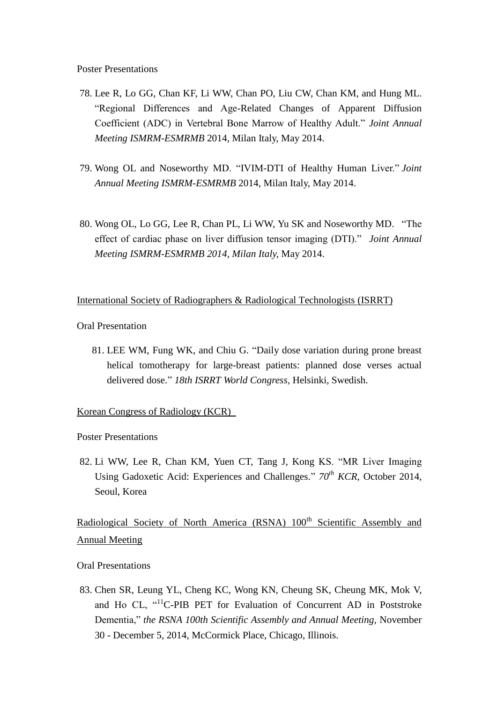- 78. Lee R, Lo GG, Chan KF, Li WW, Chan PO, Liu CW, Chan KM, and Hung ML. "Regional Differences and Age-Related Changes of Apparent Diffusion Coefficient (ADC) in Vertebral Bone Marrow of Healthy Adult." *Joint Annual Meeting ISMRM-ESMRMB* 2014, Milan Italy, May 2014.
- 79. Wong OL and Noseworthy MD. "IVIM-DTI of Healthy Human Liver." *Joint Annual Meeting ISMRM-ESMRMB* 2014, Milan Italy, May 2014.
- 80. Wong OL, Lo GG, Lee R, Chan PL, Li WW, Yu SK and Noseworthy MD. "The effect of cardiac phase on liver diffusion tensor imaging (DTI)." *Joint Annual Meeting ISMRM-ESMRMB 2014, Milan Italy,* May 2014.

#### International Society of Radiographers & Radiological Technologists (ISRRT)

Oral Presentation

81. LEE WM, Fung WK, and Chiu G. "Daily dose variation during prone breast helical tomotherapy for large-breast patients: planned dose verses actual delivered dose." *18th ISRRT World Congress,* Helsinki, Swedish.

## Korean Congress of Radiology (KCR)

Poster Presentations

82. Li WW, Lee R, Chan KM, Yuen CT, Tang J, Kong KS. "MR Liver Imaging Using Gadoxetic Acid: Experiences and Challenges." *70th KCR*, October 2014, Seoul, Korea

Radiological Society of North America (RSNA) 100<sup>th</sup> Scientific Assembly and Annual Meeting

Oral Presentations

83. Chen SR, Leung YL, Cheng KC, Wong KN, Cheung SK, Cheung MK, Mok V, and Ho CL, "<sup>11</sup>C-PIB PET for Evaluation of Concurrent AD in Poststroke Dementia," *the RSNA 100th Scientific Assembly and Annual Meeting,* November 30 - December 5, 2014, McCormick Place, Chicago, Illinois.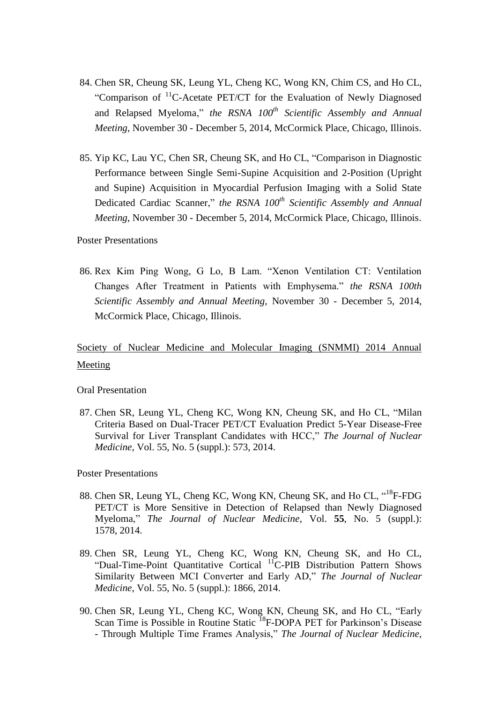- 84. Chen SR, Cheung SK, Leung YL, Cheng KC, Wong KN, Chim CS, and Ho CL, "Comparison of <sup>11</sup>C-Acetate PET/CT for the Evaluation of Newly Diagnosed and Relapsed Myeloma," *the RSNA 100th Scientific Assembly and Annual Meeting*, November 30 - December 5, 2014, McCormick Place, Chicago, Illinois.
- 85. Yip KC, Lau YC, Chen SR, Cheung SK, and Ho CL, "Comparison in Diagnostic Performance between Single Semi-Supine Acquisition and 2-Position (Upright and Supine) Acquisition in Myocardial Perfusion Imaging with a Solid State Dedicated Cardiac Scanner," *the RSNA 100th Scientific Assembly and Annual Meeting*, November 30 - December 5, 2014, McCormick Place, Chicago, Illinois.

#### Poster Presentations

86. Rex Kim Ping Wong, G Lo, B Lam. "Xenon Ventilation CT: Ventilation Changes After Treatment in Patients with Emphysema." *the RSNA 100th Scientific Assembly and Annual Meeting,* November 30 - December 5, 2014, McCormick Place, Chicago, Illinois.

## Society of Nuclear Medicine and Molecular Imaging (SNMMI) 2014 Annual Meeting

#### Oral Presentation

87. Chen SR, Leung YL, Cheng KC, Wong KN, Cheung SK, and Ho CL, "Milan Criteria Based on Dual-Tracer PET/CT Evaluation Predict 5-Year Disease-Free Survival for Liver Transplant Candidates with HCC," *The Journal of Nuclear Medicine*, Vol. 55, No. 5 (suppl.): 573, 2014.

Poster Presentations

- 88. Chen SR, Leung YL, Cheng KC, Wong KN, Cheung SK, and Ho CL, "<sup>18</sup>F-FDG PET/CT is More Sensitive in Detection of Relapsed than Newly Diagnosed Myeloma," *The Journal of Nuclear Medicine*, Vol. **55**, No. 5 (suppl.): 1578, 2014.
- 89. Chen SR, Leung YL, Cheng KC, Wong KN, Cheung SK, and Ho CL, "Dual-Time-Point Quantitative Cortical <sup>11</sup>C-PIB Distribution Pattern Shows Similarity Between MCI Converter and Early AD," *The Journal of Nuclear Medicine*, Vol. 55, No. 5 (suppl.): 1866, 2014.
- 90. Chen SR, Leung YL, Cheng KC, Wong KN, Cheung SK, and Ho CL, "Early Scan Time is Possible in Routine Static <sup>18</sup>F-DOPA PET for Parkinson's Disease - Through Multiple Time Frames Analysis," *The Journal of Nuclear Medicine*,